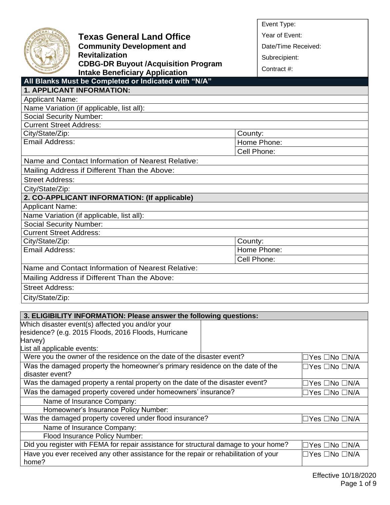|                                   |                                                                                                                        | Event Type:            |
|-----------------------------------|------------------------------------------------------------------------------------------------------------------------|------------------------|
|                                   | <b>Texas General Land Office</b>                                                                                       | Year of Event:         |
|                                   | <b>Community Development and</b>                                                                                       | Date/Time Received:    |
|                                   | <b>Revitalization</b>                                                                                                  |                        |
|                                   | <b>CDBG-DR Buyout /Acquisition Program</b>                                                                             | Subrecipient:          |
|                                   | <b>Intake Beneficiary Application</b>                                                                                  | Contract #:            |
|                                   | All Blanks Must be Completed or Indicated with "N/A"                                                                   |                        |
|                                   | <b>1. APPLICANT INFORMATION:</b>                                                                                       |                        |
| <b>Applicant Name:</b>            |                                                                                                                        |                        |
|                                   | Name Variation (if applicable, list all):                                                                              |                        |
| <b>Social Security Number:</b>    |                                                                                                                        |                        |
| <b>Current Street Address:</b>    |                                                                                                                        |                        |
| City/State/Zip:                   |                                                                                                                        | County:                |
| Email Address:                    |                                                                                                                        | Home Phone:            |
|                                   |                                                                                                                        | Cell Phone:            |
|                                   | Name and Contact Information of Nearest Relative:                                                                      |                        |
|                                   | Mailing Address if Different Than the Above:                                                                           |                        |
| <b>Street Address:</b>            |                                                                                                                        |                        |
| City/State/Zip:                   |                                                                                                                        |                        |
|                                   | 2. CO-APPLICANT INFORMATION: (If applicable)                                                                           |                        |
| <b>Applicant Name:</b>            |                                                                                                                        |                        |
|                                   | Name Variation (if applicable, list all):                                                                              |                        |
| <b>Social Security Number:</b>    |                                                                                                                        |                        |
| <b>Current Street Address:</b>    |                                                                                                                        |                        |
| City/State/Zip:<br>Email Address: |                                                                                                                        | County:<br>Home Phone: |
|                                   |                                                                                                                        | Cell Phone:            |
|                                   | Name and Contact Information of Nearest Relative:                                                                      |                        |
|                                   |                                                                                                                        |                        |
|                                   | Mailing Address if Different Than the Above:                                                                           |                        |
| <b>Street Address:</b>            |                                                                                                                        |                        |
| City/State/Zip:                   |                                                                                                                        |                        |
|                                   |                                                                                                                        |                        |
|                                   | 3. ELIGIBILITY INFORMATION: Please answer the following questions:<br>Which disaster event(s) affected you and/or your |                        |
|                                   | residence? (e.g. 2015 Floods, 2016 Floods, Hurricane                                                                   |                        |
| Harvey)                           |                                                                                                                        |                        |
| List all applicable events:       |                                                                                                                        |                        |
|                                   | Were you the owner of the residence on the date of the disaster event?                                                 | ⊟Yes ⊟No ⊟N/A          |

| disaster event?                                                                      |                                 |
|--------------------------------------------------------------------------------------|---------------------------------|
| Was the damaged property a rental property on the date of the disaster event?        | □Yes □No □N/A                   |
| Was the damaged property covered under homeowners' insurance?                        | □Yes □No □N/A                   |
| Name of Insurance Company:                                                           |                                 |
| Homeowner's Insurance Policy Number:                                                 |                                 |
| Was the damaged property covered under flood insurance?                              | $\Box$ Yes $\Box$ No $\Box$ N/A |
| Name of Insurance Company:                                                           |                                 |
| Flood Insurance Policy Number:                                                       |                                 |
| Did you register with FEMA for repair assistance for structural damage to your home? | ⊡Yes □No □N/A                   |
| Have you ever received any other assistance for the repair or rehabilitation of your | $\Box$ Yes $\Box$ No $\Box$ N/A |
| home?                                                                                |                                 |
|                                                                                      |                                 |

Was the damaged property the homeowner's primary residence on the date of the

☐Yes ☐No ☐N/A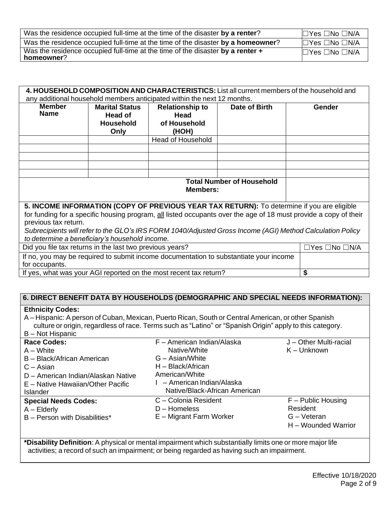| Was the residence occupied full-time at the time of the disaster by a renter?                | $\square$ Yes $\square$ No $\square$ N/A |
|----------------------------------------------------------------------------------------------|------------------------------------------|
| Was the residence occupied full-time at the time of the disaster by a homeowner?             | $\Box$ Yes $\Box$ No $\Box$ N/A          |
| Was the residence occupied full-time at the time of the disaster by a renter +<br>homeowner? | $\Box$ Yes $\Box$ No $\Box$ N/A          |

| 4. HOUSEHOLD COMPOSITION AND CHARACTERISTICS: List all current members of the household and |                                                                         |                                                                   |                                  |                                                                                                                  |  |
|---------------------------------------------------------------------------------------------|-------------------------------------------------------------------------|-------------------------------------------------------------------|----------------------------------|------------------------------------------------------------------------------------------------------------------|--|
|                                                                                             | any additional household members anticipated within the next 12 months. |                                                                   |                                  |                                                                                                                  |  |
| <b>Member</b>                                                                               | <b>Marital Status</b>                                                   | <b>Relationship to</b>                                            | Date of Birth                    | <b>Gender</b>                                                                                                    |  |
| <b>Name</b>                                                                                 | Head of                                                                 | Head                                                              |                                  |                                                                                                                  |  |
|                                                                                             | <b>Household</b>                                                        | of Household                                                      |                                  |                                                                                                                  |  |
|                                                                                             | Only                                                                    | (HOH)                                                             |                                  |                                                                                                                  |  |
|                                                                                             |                                                                         | <b>Head of Household</b>                                          |                                  |                                                                                                                  |  |
|                                                                                             |                                                                         |                                                                   |                                  |                                                                                                                  |  |
|                                                                                             |                                                                         |                                                                   |                                  |                                                                                                                  |  |
|                                                                                             |                                                                         |                                                                   |                                  |                                                                                                                  |  |
|                                                                                             |                                                                         |                                                                   |                                  |                                                                                                                  |  |
|                                                                                             |                                                                         |                                                                   | <b>Total Number of Household</b> |                                                                                                                  |  |
|                                                                                             |                                                                         | Members:                                                          |                                  |                                                                                                                  |  |
|                                                                                             |                                                                         |                                                                   |                                  |                                                                                                                  |  |
| 5. INCOME INFORMATION (COPY OF PREVIOUS YEAR TAX RETURN): To determine if you are eligible  |                                                                         |                                                                   |                                  |                                                                                                                  |  |
|                                                                                             |                                                                         |                                                                   |                                  | for funding for a specific housing program, all listed occupants over the age of 18 must provide a copy of their |  |
| previous tax return.                                                                        |                                                                         |                                                                   |                                  |                                                                                                                  |  |
|                                                                                             |                                                                         |                                                                   |                                  | Subrecipients will refer to the GLO's IRS FORM 1040/Adjusted Gross Income (AGI) Method Calculation Policy        |  |
| to determine a beneficiary's household income.                                              |                                                                         |                                                                   |                                  |                                                                                                                  |  |
| Did you file tax returns in the last two previous years?                                    | $\Box$ Yes $\Box$ No $\Box$ N/A                                         |                                                                   |                                  |                                                                                                                  |  |
| If no, you may be required to submit income documentation to substantiate your income       |                                                                         |                                                                   |                                  |                                                                                                                  |  |
| for occupants.                                                                              |                                                                         |                                                                   |                                  |                                                                                                                  |  |
|                                                                                             |                                                                         | If yes, what was your AGI reported on the most recent tax return? |                                  | \$                                                                                                               |  |

# **6. DIRECT BENEFIT DATA BY HOUSEHOLDS (DEMOGRAPHIC AND SPECIAL NEEDS INFORMATION):**

### **Ethnicity Codes:**

A – Hispanic: A person of Cuban, Mexican, Puerto Rican, South or Central American, or other Spanish culture or origin, regardless of race. Terms such as "Latino" or "Spanish Origin" apply to this category. B – Not Hispanic

| D – NUI HISPANIC                   |                               |                        |
|------------------------------------|-------------------------------|------------------------|
| <b>Race Codes:</b>                 | F - American Indian/Alaska    | J - Other Multi-racial |
| $A - White$                        | Native/White                  | $K -$ Unknown          |
| B - Black/African American         | G – Asian/White               |                        |
| $C - Asian$                        | H - Black/African             |                        |
| D - American Indian/Alaskan Native | American/White                |                        |
| E – Native Hawaiian/Other Pacific  | - American Indian/Alaska      |                        |
| <b>Islander</b>                    | Native/Black-African American |                        |
| <b>Special Needs Codes:</b>        | C - Colonia Resident          | $F -$ Public Housing   |
| $A -$ Elderly                      | $D -$ Homeless                | Resident               |
| B - Person with Disabilities*      | E – Migrant Farm Worker       | $G - V$ eteran         |
|                                    |                               | H – Wounded Warrior    |
|                                    |                               |                        |

**\*Disability Definition**: A physical or mental impairment which substantially limits one or more major life activities; a record of such an impairment; or being regarded as having such an impairment.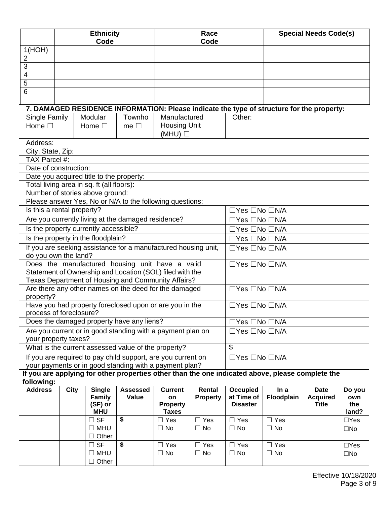|                            |      | <b>Ethnicity</b>                                                                                            |                 | Race                         |                         |                                                  | <b>Special Needs Code(s)</b> |                                 |              |
|----------------------------|------|-------------------------------------------------------------------------------------------------------------|-----------------|------------------------------|-------------------------|--------------------------------------------------|------------------------------|---------------------------------|--------------|
| 1(HOH)                     |      | Code                                                                                                        |                 |                              | Code                    |                                                  |                              |                                 |              |
| $\overline{2}$             |      |                                                                                                             |                 |                              |                         |                                                  |                              |                                 |              |
| 3                          |      |                                                                                                             |                 |                              |                         |                                                  |                              |                                 |              |
| 4                          |      |                                                                                                             |                 |                              |                         |                                                  |                              |                                 |              |
| 5                          |      |                                                                                                             |                 |                              |                         |                                                  |                              |                                 |              |
| 6                          |      |                                                                                                             |                 |                              |                         |                                                  |                              |                                 |              |
|                            |      |                                                                                                             |                 |                              |                         |                                                  |                              |                                 |              |
|                            |      | 7. DAMAGED RESIDENCE INFORMATION: Please indicate the type of structure for the property:                   |                 |                              |                         |                                                  |                              |                                 |              |
| Single Family              |      | Modular                                                                                                     | Townho          | Manufactured                 |                         | Other:                                           |                              |                                 |              |
| Home $\square$             |      | Home $\square$                                                                                              | me $\square$    | <b>Housing Unit</b><br>(MHU) |                         |                                                  |                              |                                 |              |
| Address:                   |      |                                                                                                             |                 |                              |                         |                                                  |                              |                                 |              |
| City, State, Zip:          |      |                                                                                                             |                 |                              |                         |                                                  |                              |                                 |              |
| TAX Parcel #:              |      |                                                                                                             |                 |                              |                         |                                                  |                              |                                 |              |
| Date of construction:      |      |                                                                                                             |                 |                              |                         |                                                  |                              |                                 |              |
|                            |      | Date you acquired title to the property:                                                                    |                 |                              |                         |                                                  |                              |                                 |              |
|                            |      | Total living area in sq. ft (all floors):                                                                   |                 |                              |                         |                                                  |                              |                                 |              |
|                            |      | Number of stories above ground:<br>Please answer Yes, No or N/A to the following questions:                 |                 |                              |                         |                                                  |                              |                                 |              |
| Is this a rental property? |      |                                                                                                             |                 |                              |                         |                                                  |                              |                                 |              |
|                            |      | Are you currently living at the damaged residence?                                                          |                 |                              |                         | □Yes □No □N/A<br>$\Box$ Yes $\Box$ No $\Box$ N/A |                              |                                 |              |
|                            |      | Is the property currently accessible?                                                                       |                 |                              |                         | $\Box$ Yes $\Box$ No $\Box$ N/A                  |                              |                                 |              |
|                            |      | Is the property in the floodplain?                                                                          |                 |                              |                         | $\Box$ Yes $\Box$ No $\Box$ N/A                  |                              |                                 |              |
|                            |      | If you are seeking assistance for a manufactured housing unit,                                              |                 |                              |                         | □Yes □No □N/A                                    |                              |                                 |              |
| do you own the land?       |      |                                                                                                             |                 |                              |                         |                                                  |                              |                                 |              |
|                            |      | Does the manufactured housing unit have a valid                                                             |                 |                              |                         | $\Box$ Yes $\Box$ No $\Box$ N/A                  |                              |                                 |              |
|                            |      | Statement of Ownership and Location (SOL) filed with the                                                    |                 |                              |                         |                                                  |                              |                                 |              |
|                            |      | Texas Department of Housing and Community Affairs?<br>Are there any other names on the deed for the damaged |                 |                              |                         | $\Box$ Yes $\Box$ No $\Box$ N/A                  |                              |                                 |              |
| property?                  |      |                                                                                                             |                 |                              |                         |                                                  |                              |                                 |              |
|                            |      | Have you had property foreclosed upon or are you in the<br>process of foreclosure?                          |                 |                              |                         | $\Box$ Yes $\Box$ No $\Box$ N/A                  |                              |                                 |              |
|                            |      | Does the damaged property have any liens?                                                                   |                 |                              |                         | $\Box$ Yes $\Box$ No $\Box$ N/A                  |                              |                                 |              |
|                            |      | Are you current or in good standing with a payment plan on                                                  |                 |                              |                         | □Yes □No □N/A                                    |                              |                                 |              |
| your property taxes?       |      |                                                                                                             |                 |                              |                         |                                                  |                              |                                 |              |
|                            |      | What is the current assessed value of the property?                                                         |                 |                              |                         | $\mathbb{S}$                                     |                              |                                 |              |
|                            |      | If you are required to pay child support, are you current on                                                |                 |                              |                         | $\Box$ Yes $\Box$ No $\Box$ N/A                  |                              |                                 |              |
|                            |      | your payments or in good standing with a payment plan?                                                      |                 |                              |                         |                                                  |                              |                                 |              |
| following:                 |      | If you are applying for other properties other than the one indicated above, please complete the            |                 |                              |                         |                                                  |                              |                                 |              |
| <b>Address</b>             | City | <b>Single</b>                                                                                               | <b>Assessed</b> | <b>Current</b>               | Rental                  | <b>Occupied</b>                                  | In a                         | <b>Date</b>                     | Do you       |
|                            |      | <b>Family</b><br>(SF) or                                                                                    | Value           | on<br><b>Property</b>        | <b>Property</b>         | at Time of<br><b>Disaster</b>                    | Floodplain                   | <b>Acquired</b><br><b>Title</b> | own<br>the   |
|                            |      | <b>MHU</b>                                                                                                  |                 | <b>Taxes</b>                 |                         |                                                  |                              |                                 | land?        |
|                            |      | $\square$ SF                                                                                                | \$              | $\Box$ Yes                   | $\Box$ Yes              | $\Box$ Yes                                       | $\Box$ Yes                   |                                 | $\Box$ Yes   |
|                            |      | $\square$ MHU                                                                                               |                 | $\Box$ No                    | $\Box$ No               | $\Box$ No                                        | $\Box$ No                    |                                 | $\square$ No |
|                            |      | Other<br>$\Box$                                                                                             |                 |                              |                         |                                                  |                              |                                 |              |
|                            |      | $\Box$ SF                                                                                                   | \$              | $\Box$ Yes<br>$\Box$ No      | $\Box$ Yes<br>$\Box$ No | $\Box$ Yes<br>$\Box$ No                          | $\Box$ Yes<br>$\Box$ No      |                                 | $\Box$ Yes   |
|                            |      | $\Box$ MHU                                                                                                  |                 |                              |                         |                                                  |                              |                                 | $\square$ No |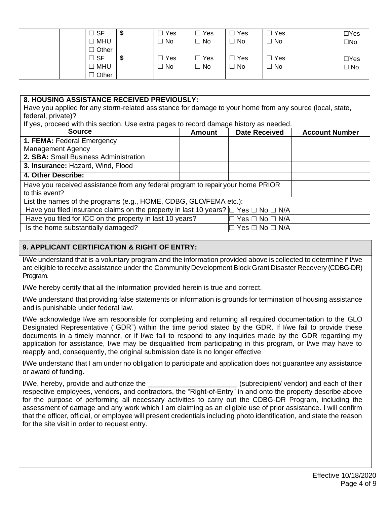|  | ∣ SF           | Ψ | Yes | Yes | Yes<br>$\Box$ | Yes | $\Box$ Yes   |
|--|----------------|---|-----|-----|---------------|-----|--------------|
|  | MHU            |   | No  | No  | $\Box$<br>No  | No  | $\square$ No |
|  | Other          |   |     |     |               |     |              |
|  | $\sqsupset$ SF | ∾ | Yes | Yes | $\Box$<br>Yes | Yes | $\Box$ Yes   |
|  | <b>MHU</b>     |   | No  | No  | No            | No  | $\square$ No |
|  | Other          |   |     |     |               |     |              |

## **8. HOUSING ASSISTANCE RECEIVED PREVIOUSLY:**

Have you applied for any storm-related assistance for damage to your home from any source (local, state, federal, private)?

If yes, proceed with this section. Use extra pages to record damage history as needed.

| <b>Source</b>                                                                                     | Amount                 | <b>Date Received</b> | <b>Account Number</b> |
|---------------------------------------------------------------------------------------------------|------------------------|----------------------|-----------------------|
| 1. FEMA: Federal Emergency                                                                        |                        |                      |                       |
| <b>Management Agency</b>                                                                          |                        |                      |                       |
| 2. SBA: Small Business Administration                                                             |                        |                      |                       |
| 3. Insurance: Hazard, Wind, Flood                                                                 |                        |                      |                       |
| 4. Other Describe:                                                                                |                        |                      |                       |
| Have you received assistance from any federal program to repair your home PRIOR<br>to this event? |                        |                      |                       |
| List the names of the programs (e.g., HOME, CDBG, GLO/FEMA etc.):                                 |                        |                      |                       |
| Have you filed insurance claims on the property in last 10 years? $\Box$ Yes $\Box$ No $\Box$ N/A |                        |                      |                       |
| Have you filed for ICC on the property in last 10 years?                                          | $Yes \Box No \Box N/A$ |                      |                       |
| Is the home substantially damaged?                                                                |                        | l Yes □ No □ N/A     |                       |

# **9. APPLICANT CERTIFICATION & RIGHT OF ENTRY:**

I/We understand that is a voluntary program and the information provided above is collected to determine if I/we are eligible to receive assistance under the Community Development Block Grant Disaster Recovery (CDBG-DR) Program.

I/We hereby certify that all the information provided herein is true and correct.

I/We understand that providing false statements or information is grounds for termination of housing assistance and is punishable under federal law.

I/We acknowledge I/we am responsible for completing and returning all required documentation to the GLO Designated Representative ("GDR") within the time period stated by the GDR. If I/we fail to provide these documents in a timely manner, or if I/we fail to respond to any inquiries made by the GDR regarding my application for assistance, I/we may be disqualified from participating in this program, or I/we may have to reapply and, consequently, the original submission date is no longer effective

I/We understand that I am under no obligation to participate and application does not guarantee any assistance or award of funding.

I/We, hereby, provide and authorize the \_\_\_\_\_\_\_\_\_\_\_\_\_\_\_\_\_\_\_\_\_\_\_ (subrecipient/ vendor) and each of their respective employees, vendors, and contractors, the "Right-of-Entry" in and onto the property describe above for the purpose of performing all necessary activities to carry out the CDBG-DR Program, including the assessment of damage and any work which I am claiming as an eligible use of prior assistance. I will confirm that the officer, official, or employee will present credentials including photo identification, and state the reason for the site visit in order to request entry.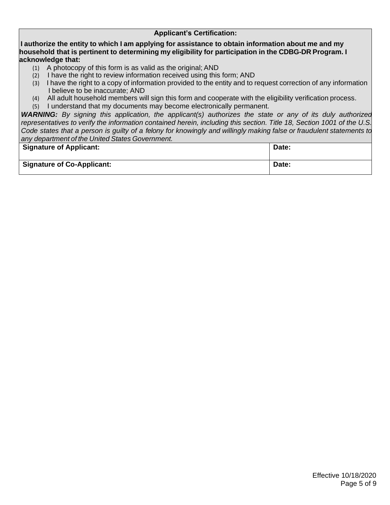### **Applicant's Certification:**

**I authorize the entity to which I am applying for assistance to obtain information about me and my household that is pertinent to determining my eligibility for participation in the CDBG-DR Program. I acknowledge that:**

- (1) A photocopy of this form is as valid as the original; AND
- (2) I have the right to review information received using this form; AND
- (3) I have the right to a copy of information provided to the entity and to request correction of any information I believe to be inaccurate; AND
- (4) All adult household members will sign this form and cooperate with the eligibility verification process.
- (5) I understand that my documents may become electronically permanent.

*WARNING: By signing this application, the applicant(s) authorizes the state or any of its duly authorized representatives to verify the information contained herein, including this section. Title 18, Section 1001 of the U.S. Code states that a person is guilty of a felony for knowingly and willingly making false or fraudulent statements to any department of the United States Government.*

| Signature of Applicant:           | Date: |
|-----------------------------------|-------|
| <b>Signature of Co-Applicant:</b> | Date: |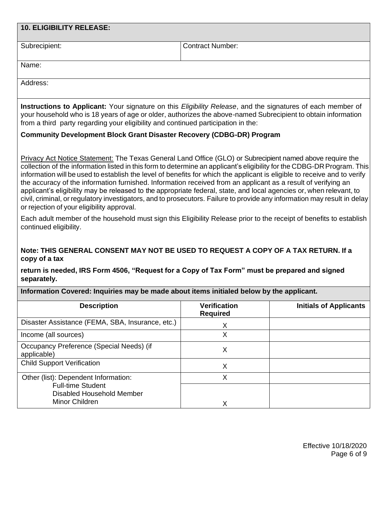| <b>10. ELIGIBILITY RELEASE:</b>                                                                                                                                                                                                                                                                                                                                                                                                                                                                                                                                                                                                                                                                                                                                                    |                                        |                               |  |  |
|------------------------------------------------------------------------------------------------------------------------------------------------------------------------------------------------------------------------------------------------------------------------------------------------------------------------------------------------------------------------------------------------------------------------------------------------------------------------------------------------------------------------------------------------------------------------------------------------------------------------------------------------------------------------------------------------------------------------------------------------------------------------------------|----------------------------------------|-------------------------------|--|--|
| Subrecipient:                                                                                                                                                                                                                                                                                                                                                                                                                                                                                                                                                                                                                                                                                                                                                                      | <b>Contract Number:</b>                |                               |  |  |
| Name:                                                                                                                                                                                                                                                                                                                                                                                                                                                                                                                                                                                                                                                                                                                                                                              |                                        |                               |  |  |
| Address:                                                                                                                                                                                                                                                                                                                                                                                                                                                                                                                                                                                                                                                                                                                                                                           |                                        |                               |  |  |
| Instructions to Applicant: Your signature on this Eligibility Release, and the signatures of each member of<br>your household who is 18 years of age or older, authorizes the above-named Subrecipient to obtain information<br>from a third party regarding your eligibility and continued participation in the:                                                                                                                                                                                                                                                                                                                                                                                                                                                                  |                                        |                               |  |  |
| <b>Community Development Block Grant Disaster Recovery (CDBG-DR) Program</b>                                                                                                                                                                                                                                                                                                                                                                                                                                                                                                                                                                                                                                                                                                       |                                        |                               |  |  |
| Privacy Act Notice Statement: The Texas General Land Office (GLO) or Subrecipient named above require the<br>collection of the information listed in this form to determine an applicant's eligibility for the CDBG-DR Program. This<br>information will be used to establish the level of benefits for which the applicant is eligible to receive and to verify<br>the accuracy of the information furnished. Information received from an applicant as a result of verifying an<br>applicant's eligibility may be released to the appropriate federal, state, and local agencies or, when relevant, to<br>civil, criminal, or regulatory investigators, and to prosecutors. Failure to provide any information may result in delay<br>or rejection of your eligibility approval. |                                        |                               |  |  |
| Each adult member of the household must sign this Eligibility Release prior to the receipt of benefits to establish<br>continued eligibility.                                                                                                                                                                                                                                                                                                                                                                                                                                                                                                                                                                                                                                      |                                        |                               |  |  |
| Note: THIS GENERAL CONSENT MAY NOT BE USED TO REQUEST A COPY OF A TAX RETURN. If a<br>copy of a tax                                                                                                                                                                                                                                                                                                                                                                                                                                                                                                                                                                                                                                                                                |                                        |                               |  |  |
| return is needed, IRS Form 4506, "Request for a Copy of Tax Form" must be prepared and signed<br>separately.                                                                                                                                                                                                                                                                                                                                                                                                                                                                                                                                                                                                                                                                       |                                        |                               |  |  |
| Information Covered: Inquiries may be made about items initialed below by the applicant.                                                                                                                                                                                                                                                                                                                                                                                                                                                                                                                                                                                                                                                                                           |                                        |                               |  |  |
| <b>Description</b>                                                                                                                                                                                                                                                                                                                                                                                                                                                                                                                                                                                                                                                                                                                                                                 | <b>Verification</b><br><b>Required</b> | <b>Initials of Applicants</b> |  |  |
| Disaster Assistance (FEMA, SBA, Insurance, etc.)                                                                                                                                                                                                                                                                                                                                                                                                                                                                                                                                                                                                                                                                                                                                   | X                                      |                               |  |  |
| Income (all sources)                                                                                                                                                                                                                                                                                                                                                                                                                                                                                                                                                                                                                                                                                                                                                               | X                                      |                               |  |  |
| Occupancy Preference (Special Needs) (if<br>applicable)                                                                                                                                                                                                                                                                                                                                                                                                                                                                                                                                                                                                                                                                                                                            | X                                      |                               |  |  |
| <b>Child Support Verification</b>                                                                                                                                                                                                                                                                                                                                                                                                                                                                                                                                                                                                                                                                                                                                                  | X                                      |                               |  |  |
| Other (list): Dependent Information:<br><b>Full-time Student</b>                                                                                                                                                                                                                                                                                                                                                                                                                                                                                                                                                                                                                                                                                                                   | X                                      |                               |  |  |
| <b>Disabled Household Member</b><br>Minor Children<br>X                                                                                                                                                                                                                                                                                                                                                                                                                                                                                                                                                                                                                                                                                                                            |                                        |                               |  |  |
|                                                                                                                                                                                                                                                                                                                                                                                                                                                                                                                                                                                                                                                                                                                                                                                    |                                        |                               |  |  |
|                                                                                                                                                                                                                                                                                                                                                                                                                                                                                                                                                                                                                                                                                                                                                                                    |                                        |                               |  |  |
|                                                                                                                                                                                                                                                                                                                                                                                                                                                                                                                                                                                                                                                                                                                                                                                    |                                        | $Eff$ ootiya 10/19/2020       |  |  |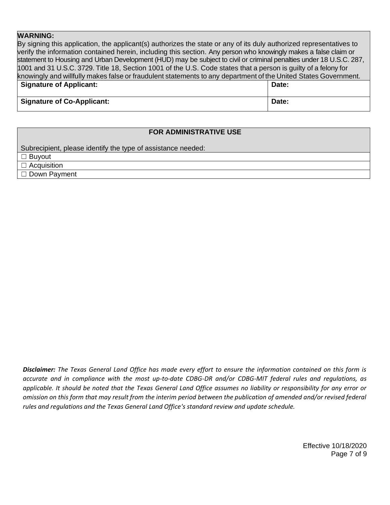### **WARNING:**

By signing this application, the applicant(s) authorizes the state or any of its duly authorized representatives to verify the information contained herein, including this section. Any person who knowingly makes a false claim or statement to Housing and Urban Development (HUD) may be subject to civil or criminal penalties under 18 U.S.C. 287, 1001 and 31 U.S.C. 3729. Title 18, Section 1001 of the U.S. Code states that a person is guilty of a felony for knowingly and willfully makes false or fraudulent statements to any department of the United States Government. **Signature of Applicant: Date:**

|                                   | ----- |
|-----------------------------------|-------|
| <b>Signature of Co-Applicant:</b> | Date: |

#### **FOR ADMINISTRATIVE USE**

Subrecipient, please identify the type of assistance needed:

☐ Buyout

☐ Acquisition

☐ Down Payment

*Disclaimer: The Texas General Land Office has made every effort to ensure the information contained on this form is accurate and in compliance with the most up-to-date CDBG-DR and/or CDBG-MIT federal rules and regulations, as applicable. It should be noted that the Texas General Land Office assumes no liability or responsibility for any error or omission on this form that may result from the interim period between the publication of amended and/or revised federal rules and regulations and the Texas General Land Office's standard review and update schedule.*

> Effective 10/18/2020 Page 7 of 9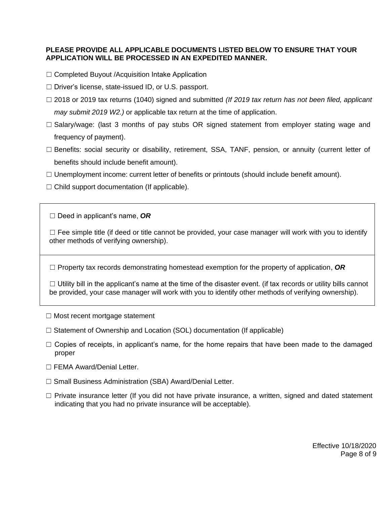#### **PLEASE PROVIDE ALL APPLICABLE DOCUMENTS LISTED BELOW TO ENSURE THAT YOUR APPLICATION WILL BE PROCESSED IN AN EXPEDITED MANNER.**

- ☐ Completed Buyout /Acquisition Intake Application
- ☐ Driver's license, state-issued ID, or U.S. passport.
- ☐ 2018 or 2019 tax returns (1040) signed and submitted *(If 2019 tax return has not been filed, applicant may submit 2019 W2.)* or applicable tax return at the time of application.
- $\Box$  Salary/wage: (last 3 months of pay stubs OR signed statement from employer stating wage and frequency of payment).
- $\Box$  Benefits: social security or disability, retirement, SSA, TANF, pension, or annuity (current letter of benefits should include benefit amount).
- $\Box$  Unemployment income: current letter of benefits or printouts (should include benefit amount).
- $\Box$  Child support documentation (If applicable).

☐ Deed in applicant's name, *OR*

 $\Box$  Fee simple title (if deed or title cannot be provided, your case manager will work with you to identify other methods of verifying ownership).

☐ Property tax records demonstrating homestead exemption for the property of application, *OR*

 $\Box$  Utility bill in the applicant's name at the time of the disaster event. (if tax records or utility bills cannot be provided, your case manager will work with you to identify other methods of verifying ownership).

- ☐ Most recent mortgage statement
- ☐ Statement of Ownership and Location (SOL) documentation (If applicable)
- $\Box$  Copies of receipts, in applicant's name, for the home repairs that have been made to the damaged proper
- ☐ FEMA Award/Denial Letter.
- ☐ Small Business Administration (SBA) Award/Denial Letter.
- $\Box$  Private insurance letter (If you did not have private insurance, a written, signed and dated statement indicating that you had no private insurance will be acceptable).

Effective 10/18/2020 Page 8 of 9